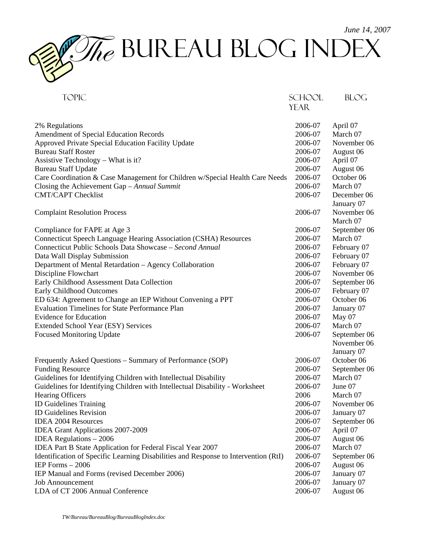

| <b>TOPIC</b>                                                                        | <b>SCHOOL</b> | <b>BLOG</b>  |
|-------------------------------------------------------------------------------------|---------------|--------------|
|                                                                                     | <b>YEAR</b>   |              |
|                                                                                     |               |              |
| 2% Regulations                                                                      | 2006-07       | April 07     |
| Amendment of Special Education Records                                              | 2006-07       | March 07     |
| Approved Private Special Education Facility Update                                  | 2006-07       | November 06  |
| <b>Bureau Staff Roster</b>                                                          | 2006-07       | August 06    |
| Assistive Technology – What is it?                                                  | 2006-07       | April 07     |
| <b>Bureau Staff Update</b>                                                          | 2006-07       | August 06    |
| Care Coordination & Case Management for Children w/Special Health Care Needs        | 2006-07       | October 06   |
|                                                                                     | 2006-07       | March 07     |
| Closing the Achievement Gap $-Annual$ Summit                                        |               |              |
| <b>CMT/CAPT Checklist</b>                                                           | 2006-07       | December 06  |
|                                                                                     |               | January 07   |
| <b>Complaint Resolution Process</b>                                                 | 2006-07       | November 06  |
|                                                                                     |               | March 07     |
| Compliance for FAPE at Age 3                                                        | 2006-07       | September 06 |
| Connecticut Speech Language Hearing Association (CSHA) Resources                    | 2006-07       | March 07     |
| Connecticut Public Schools Data Showcase - Second Annual                            | 2006-07       | February 07  |
| Data Wall Display Submission                                                        | 2006-07       | February 07  |
| Department of Mental Retardation - Agency Collaboration                             | 2006-07       | February 07  |
| Discipline Flowchart                                                                | 2006-07       | November 06  |
| Early Childhood Assessment Data Collection                                          | 2006-07       | September 06 |
| Early Childhood Outcomes                                                            | 2006-07       | February 07  |
| ED 634: Agreement to Change an IEP Without Convening a PPT                          | 2006-07       | October 06   |
| <b>Evaluation Timelines for State Performance Plan</b>                              | 2006-07       | January 07   |
| <b>Evidence for Education</b>                                                       | 2006-07       | May 07       |
| Extended School Year (ESY) Services                                                 | 2006-07       | March 07     |
| <b>Focused Monitoring Update</b>                                                    | 2006-07       | September 06 |
|                                                                                     |               | November 06  |
|                                                                                     |               | January 07   |
| Frequently Asked Questions - Summary of Performance (SOP)                           | 2006-07       | October 06   |
| <b>Funding Resource</b>                                                             | 2006-07       | September 06 |
| Guidelines for Identifying Children with Intellectual Disability                    | 2006-07       | March 07     |
| Guidelines for Identifying Children with Intellectual Disability - Worksheet        | 2006-07       | June 07      |
| <b>Hearing Officers</b>                                                             | 2006          | March 07     |
| ID Guidelines Training                                                              | 2006-07       | November 06  |
| <b>ID Guidelines Revision</b>                                                       | 2006-07       |              |
| <b>IDEA 2004 Resources</b>                                                          |               | January 07   |
|                                                                                     | 2006-07       | September 06 |
| IDEA Grant Applications 2007-2009                                                   | 2006-07       | April 07     |
| <b>IDEA</b> Regulations $-2006$                                                     | 2006-07       | August 06    |
| IDEA Part B State Application for Federal Fiscal Year 2007                          | 2006-07       | March 07     |
| Identification of Specific Learning Disabilities and Response to Intervention (RtI) | 2006-07       | September 06 |
| IEP Forms $-2006$                                                                   | 2006-07       | August 06    |
| IEP Manual and Forms (revised December 2006)                                        | 2006-07       | January 07   |
| <b>Job Announcement</b>                                                             | 2006-07       | January 07   |
| LDA of CT 2006 Annual Conference                                                    | 2006-07       | August 06    |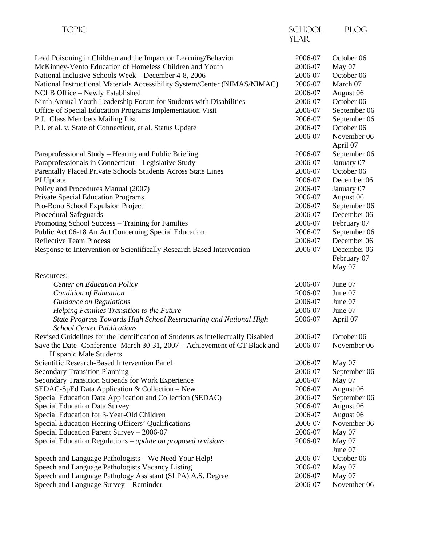| <b>TOPIC</b>                                                                                            | <b>SCHOOL</b> | <b>BLOG</b>  |
|---------------------------------------------------------------------------------------------------------|---------------|--------------|
|                                                                                                         | <b>YEAR</b>   |              |
| Lead Poisoning in Children and the Impact on Learning/Behavior                                          | 2006-07       | October 06   |
| McKinney-Vento Education of Homeless Children and Youth                                                 | 2006-07       | May 07       |
| National Inclusive Schools Week - December 4-8, 2006                                                    | 2006-07       | October 06   |
| National Instructional Materials Accessibility System/Center (NIMAS/NIMAC)                              | 2006-07       | March 07     |
| NCLB Office - Newly Established                                                                         | 2006-07       | August 06    |
| Ninth Annual Youth Leadership Forum for Students with Disabilities                                      | 2006-07       | October 06   |
| Office of Special Education Programs Implementation Visit                                               | 2006-07       | September 06 |
| P.J. Class Members Mailing List                                                                         | 2006-07       | September 06 |
| P.J. et al. v. State of Connecticut, et al. Status Update                                               | 2006-07       | October 06   |
|                                                                                                         | 2006-07       | November 06  |
|                                                                                                         |               | April 07     |
| Paraprofessional Study – Hearing and Public Briefing                                                    | 2006-07       | September 06 |
| Paraprofessionals in Connecticut - Legislative Study                                                    | 2006-07       | January 07   |
| Parentally Placed Private Schools Students Across State Lines                                           | 2006-07       | October 06   |
| PJ Update                                                                                               | 2006-07       | December 06  |
| Policy and Procedures Manual (2007)                                                                     | 2006-07       | January 07   |
| <b>Private Special Education Programs</b>                                                               | 2006-07       | August 06    |
| Pro-Bono School Expulsion Project                                                                       | 2006-07       | September 06 |
| Procedural Safeguards                                                                                   | 2006-07       | December 06  |
| Promoting School Success - Training for Families                                                        | 2006-07       | February 07  |
| Public Act 06-18 An Act Concerning Special Education                                                    | 2006-07       | September 06 |
| <b>Reflective Team Process</b>                                                                          | 2006-07       | December 06  |
| Response to Intervention or Scientifically Research Based Intervention                                  | 2006-07       | December 06  |
|                                                                                                         |               | February 07  |
|                                                                                                         |               | May 07       |
| Resources:                                                                                              |               |              |
| <b>Center on Education Policy</b>                                                                       | 2006-07       | June 07      |
| Condition of Education                                                                                  | 2006-07       | June 07      |
| <b>Guidance on Regulations</b>                                                                          | 2006-07       | June 07      |
| Helping Families Transition to the Future                                                               | 2006-07       | June 07      |
| State Progress Towards High School Restructuring and National High<br><b>School Center Publications</b> | 2006-07       | April 07     |
| Revised Guidelines for the Identification of Students as intellectually Disabled                        | 2006-07       | October 06   |
| Save the Date- Conference- March 30-31, 2007 - Achievement of CT Black and                              | 2006-07       | November 06  |
| <b>Hispanic Male Students</b>                                                                           |               |              |
| Scientific Research-Based Intervention Panel                                                            | 2006-07       | May 07       |
| <b>Secondary Transition Planning</b>                                                                    | 2006-07       | September 06 |
| Secondary Transition Stipends for Work Experience                                                       | 2006-07       | May 07       |
| SEDAC-SpEd Data Application & Collection - New                                                          | 2006-07       | August 06    |
| Special Education Data Application and Collection (SEDAC)                                               | 2006-07       | September 06 |
| <b>Special Education Data Survey</b>                                                                    | 2006-07       | August 06    |
| Special Education for 3-Year-Old Children                                                               | 2006-07       | August 06    |
| Special Education Hearing Officers' Qualifications                                                      | 2006-07       | November 06  |
| Special Education Parent Survey - 2006-07                                                               | 2006-07       | May 07       |
| Special Education Regulations – update on proposed revisions                                            | 2006-07       | May 07       |
|                                                                                                         |               | June 07      |
| Speech and Language Pathologists - We Need Your Help!                                                   | 2006-07       | October 06   |
| Speech and Language Pathologists Vacancy Listing                                                        | 2006-07       | May 07       |
| Speech and Language Pathology Assistant (SLPA) A.S. Degree                                              | 2006-07       | May 07       |
| Speech and Language Survey - Reminder                                                                   | 2006-07       | November 06  |